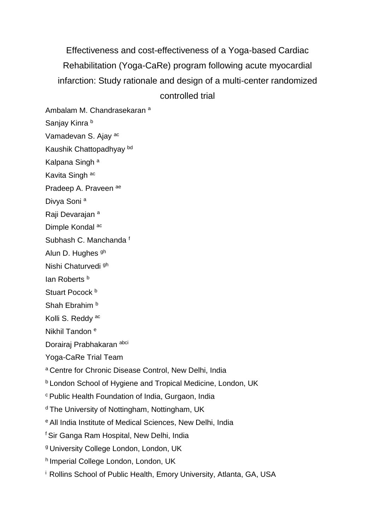Effectiveness and cost-effectiveness of a Yoga-based Cardiac Rehabilitation (Yoga-CaRe) program following acute myocardial infarction: Study rationale and design of a multi-center randomized controlled trial

Ambalam M. Chandrasekaran <sup>a</sup> Sanjay Kinra b Vamadevan S. Ajay ac Kaushik Chattopadhyay bd Kalpana Singh<sup>a</sup> Kavita Singh ac Pradeep A. Praveen ae Divya Soni<sup>a</sup>

Raji Devarajan<sup>a</sup>

Dimple Kondal ac

Subhash C. Manchanda <sup>f</sup>

Alun D. Hughes <sup>gh</sup>

Nishi Chaturvedi gh

lan Roberts<sup>b</sup>

Stuart Pocock<sup>b</sup>

Shah Ebrahim<sup>b</sup>

Kolli S. Reddy<sup>ac</sup>

Nikhil Tandon <sup>e</sup>

Dorairaj Prabhakaran abci

Yoga-CaRe Trial Team

a Centre for Chronic Disease Control, New Delhi, India

**b London School of Hygiene and Tropical Medicine, London, UK** 

<sup>c</sup> Public Health Foundation of India, Gurgaon, India

<sup>d</sup> The University of Nottingham, Nottingham, UK

<sup>e</sup> All India Institute of Medical Sciences, New Delhi, India

<sup>f</sup> Sir Ganga Ram Hospital, New Delhi, India

<sup>g</sup> University College London, London, UK

h Imperial College London, London, UK

<sup>i</sup> Rollins School of Public Health, Emory University, Atlanta, GA, USA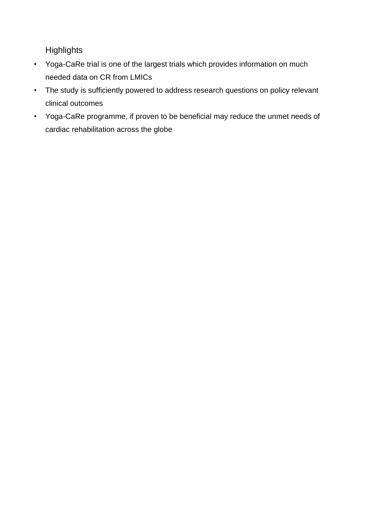**Highlights** 

- Yoga-CaRe trial is one of the largest trials which provides information on much needed data on CR from LMICs
- The study is sufficiently powered to address research questions on policy relevant clinical outcomes
- Yoga-CaRe programme, if proven to be beneficial may reduce the unmet needs of cardiac rehabilitation across the globe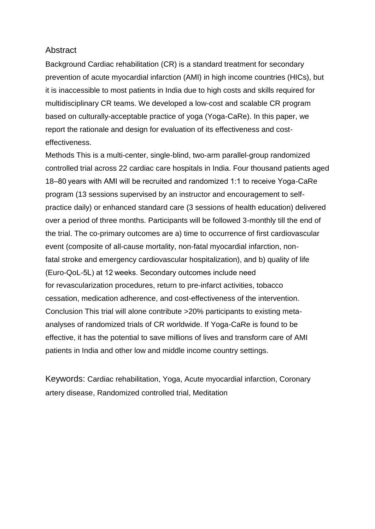## Abstract

Background Cardiac rehabilitation (CR) is a standard treatment for secondary prevention of acute myocardial infarction (AMI) in high income countries (HICs), but it is inaccessible to most patients in India due to high costs and skills required for multidisciplinary CR teams. We developed a low-cost and scalable CR program based on culturally-acceptable practice of yoga (Yoga-CaRe). In this paper, we report the rationale and design for evaluation of its effectiveness and costeffectiveness.

Methods This is a multi-center, single-blind, two-arm parallel-group randomized controlled trial across 22 cardiac care hospitals in India. Four thousand patients aged 18–80 years with AMI will be recruited and randomized 1:1 to receive Yoga-CaRe program (13 sessions supervised by an instructor and encouragement to selfpractice daily) or enhanced standard care (3 sessions of health education) delivered over a period of three months. Participants will be followed 3-monthly till the end of the trial. The co-primary outcomes are a) time to occurrence of first cardiovascular event (composite of all-cause mortality, non-fatal myocardial infarction, nonfatal stroke and emergency cardiovascular hospitalization), and b) quality of life (Euro-QoL-5L) at 12 weeks. Secondary outcomes include need for revascularization procedures, return to pre-infarct activities, tobacco cessation, medication adherence, and cost-effectiveness of the intervention. Conclusion This trial will alone contribute >20% participants to existing metaanalyses of randomized trials of CR worldwide. If Yoga-CaRe is found to be effective, it has the potential to save millions of lives and transform care of AMI patients in India and other low and middle income country settings.

Keywords: Cardiac rehabilitation, Yoga, Acute myocardial infarction, Coronary artery disease, Randomized controlled trial, Meditation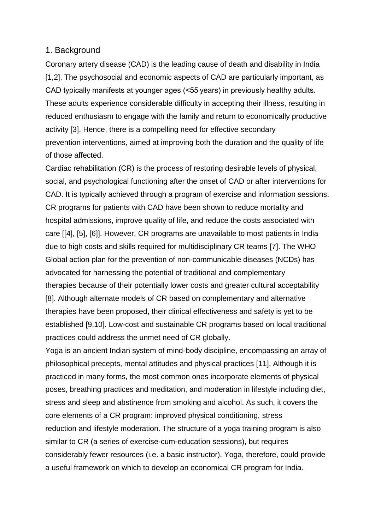### 1. Background

Coronary artery disease (CAD) is the leading cause of death and disability in India [1,2]. The psychosocial and economic aspects of CAD are particularly important, as CAD typically manifests at younger ages (<55 years) in previously healthy adults. These adults experience considerable difficulty in accepting their illness, resulting in reduced enthusiasm to engage with the family and return to economically productive activity [3]. Hence, there is a compelling need for effective secondary prevention interventions, aimed at improving both the duration and the quality of life of those affected.

Cardiac rehabilitation (CR) is the process of restoring desirable levels of physical, social, and psychological functioning after the onset of CAD or after interventions for CAD. It is typically achieved through a program of exercise and information sessions. CR programs for patients with CAD have been shown to reduce mortality and hospital admissions, improve quality of life, and reduce the costs associated with care [[4], [5], [6]]. However, CR programs are unavailable to most patients in India due to high costs and skills required for multidisciplinary CR teams [7]. The WHO Global action plan for the prevention of non-communicable diseases (NCDs) has advocated for harnessing the potential of traditional and complementary therapies because of their potentially lower costs and greater cultural acceptability [8]. Although alternate models of CR based on complementary and alternative therapies have been proposed, their clinical effectiveness and safety is yet to be established [9,10]. Low-cost and sustainable CR programs based on local traditional practices could address the unmet need of CR globally.

Yoga is an ancient Indian system of mind-body discipline, encompassing an array of philosophical precepts, mental attitudes and physical practices [11]. Although it is practiced in many forms, the most common ones incorporate elements of physical poses, breathing practices and meditation, and moderation in lifestyle including diet, stress and sleep and abstinence from smoking and alcohol. As such, it covers the core elements of a CR program: improved physical conditioning, stress reduction and lifestyle moderation. The structure of a yoga training program is also similar to CR (a series of exercise-cum-education sessions), but requires considerably fewer resources (i.e. a basic instructor). Yoga, therefore, could provide a useful framework on which to develop an economical CR program for India.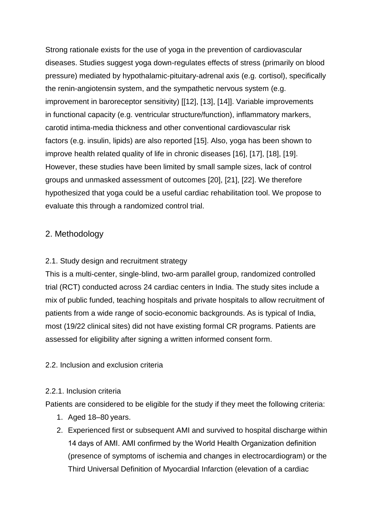Strong rationale exists for the use of yoga in the prevention of cardiovascular diseases. Studies suggest yoga down-regulates effects of stress (primarily on blood pressure) mediated by hypothalamic-pituitary-adrenal axis (e.g. cortisol), specifically the renin-angiotensin system, and the sympathetic nervous system (e.g. improvement in baroreceptor sensitivity) [[12], [13], [14]]. Variable improvements in functional capacity (e.g. ventricular structure/function), inflammatory markers, carotid intima-media thickness and other conventional cardiovascular risk factors (e.g. insulin, lipids) are also reported [15]. Also, yoga has been shown to improve health related quality of life in chronic diseases [16], [17], [18], [19]. However, these studies have been limited by small sample sizes, lack of control groups and unmasked assessment of outcomes [20], [21], [22]. We therefore hypothesized that yoga could be a useful cardiac rehabilitation tool. We propose to evaluate this through a randomized control trial.

# 2. Methodology

## 2.1. Study design and recruitment strategy

This is a multi-center, single-blind, two-arm parallel group, randomized controlled trial (RCT) conducted across 24 cardiac centers in India. The study sites include a mix of public funded, teaching hospitals and private hospitals to allow recruitment of patients from a wide range of socio-economic backgrounds. As is typical of India, most (19/22 clinical sites) did not have existing formal CR programs. Patients are assessed for eligibility after signing a written informed consent form.

## 2.2. Inclusion and exclusion criteria

### 2.2.1. Inclusion criteria

Patients are considered to be eligible for the study if they meet the following criteria:

- 1. Aged 18–80 years.
- 2. Experienced first or subsequent AMI and survived to hospital discharge within 14 days of AMI. AMI confirmed by the World Health Organization definition (presence of symptoms of ischemia and changes in electrocardiogram) or the Third Universal Definition of Myocardial Infarction (elevation of a cardiac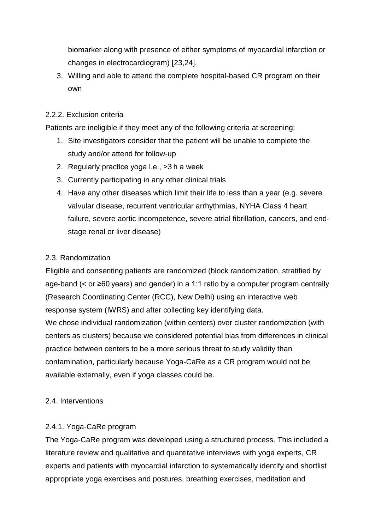biomarker along with presence of either symptoms of myocardial infarction or changes in electrocardiogram) [23,24].

3. Willing and able to attend the complete hospital-based CR program on their own

## 2.2.2. Exclusion criteria

Patients are ineligible if they meet any of the following criteria at screening:

- 1. Site investigators consider that the patient will be unable to complete the study and/or attend for follow-up
- 2. Regularly practice yoga i.e., >3 h a week
- 3. Currently participating in any other clinical trials
- 4. Have any other diseases which limit their life to less than a year (e.g. severe valvular disease, recurrent ventricular arrhythmias, NYHA Class 4 heart failure, severe aortic incompetence, severe atrial fibrillation, cancers, and endstage renal or liver disease)

## 2.3. Randomization

Eligible and consenting patients are randomized (block randomization, stratified by age-band (< or ≥60 years) and gender) in a 1:1 ratio by a computer program centrally (Research Coordinating Center (RCC), New Delhi) using an interactive web response system (IWRS) and after collecting key identifying data. We chose individual randomization (within centers) over cluster randomization (with centers as clusters) because we considered potential bias from differences in clinical practice between centers to be a more serious threat to study validity than contamination, particularly because Yoga-CaRe as a CR program would not be available externally, even if yoga classes could be.

## 2.4. Interventions

## 2.4.1. Yoga-CaRe program

The Yoga-CaRe program was developed using a structured process. This included a literature review and qualitative and quantitative interviews with yoga experts, CR experts and patients with myocardial infarction to systematically identify and shortlist appropriate yoga exercises and postures, breathing exercises, meditation and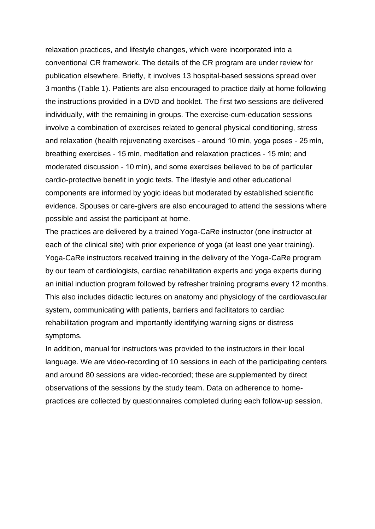relaxation practices, and lifestyle changes, which were incorporated into a conventional CR framework. The details of the CR program are under review for publication elsewhere. Briefly, it involves 13 hospital-based sessions spread over 3 months (Table 1). Patients are also encouraged to practice daily at home following the instructions provided in a DVD and booklet. The first two sessions are delivered individually, with the remaining in groups. The exercise-cum-education sessions involve a combination of exercises related to general physical conditioning, stress and relaxation (health rejuvenating exercises - around 10 min, yoga poses - 25 min, breathing exercises - 15 min, meditation and relaxation practices - 15 min; and moderated discussion - 10 min), and some exercises believed to be of particular cardio-protective benefit in yogic texts. The lifestyle and other educational components are informed by yogic ideas but moderated by established scientific evidence. Spouses or care-givers are also encouraged to attend the sessions where possible and assist the participant at home.

The practices are delivered by a trained Yoga-CaRe instructor (one instructor at each of the clinical site) with prior experience of yoga (at least one year training). Yoga-CaRe instructors received training in the delivery of the Yoga-CaRe program by our team of cardiologists, cardiac rehabilitation experts and yoga experts during an initial induction program followed by refresher training programs every 12 months. This also includes didactic lectures on anatomy and physiology of the cardiovascular system, communicating with patients, barriers and facilitators to cardiac rehabilitation program and importantly identifying warning signs or distress symptoms.

In addition, manual for instructors was provided to the instructors in their local language. We are video-recording of 10 sessions in each of the participating centers and around 80 sessions are video-recorded; these are supplemented by direct observations of the sessions by the study team. Data on adherence to homepractices are collected by questionnaires completed during each follow-up session.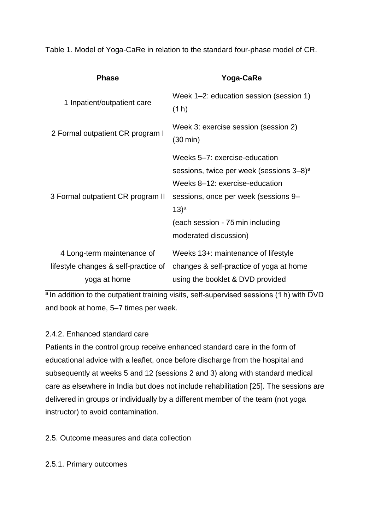| <b>Phase</b>                         | Yoga-CaRe                                                                                                                                                                                                       |
|--------------------------------------|-----------------------------------------------------------------------------------------------------------------------------------------------------------------------------------------------------------------|
| 1 Inpatient/outpatient care          | Week 1-2: education session (session 1)<br>(1 h)                                                                                                                                                                |
| 2 Formal outpatient CR program I     | Week 3: exercise session (session 2)<br>$(30 \text{ min})$                                                                                                                                                      |
| 3 Formal outpatient CR program II    | Weeks 5–7: exercise-education<br>sessions, twice per week (sessions 3–8) <sup>a</sup><br>Weeks 8-12: exercise-education<br>sessions, once per week (sessions 9–<br>$(13)^a$<br>(each session - 75 min including |
|                                      | moderated discussion)                                                                                                                                                                                           |
| 4 Long-term maintenance of           | Weeks 13+: maintenance of lifestyle                                                                                                                                                                             |
| lifestyle changes & self-practice of | changes & self-practice of yoga at home                                                                                                                                                                         |
| yoga at home                         | using the booklet & DVD provided                                                                                                                                                                                |

Table 1. Model of Yoga-CaRe in relation to the standard four-phase model of CR.

<sup>a</sup> In addition to the outpatient training visits, self-supervised sessions (1 h) with DVD and book at home, 5–7 times per week.

## 2.4.2. Enhanced standard care

Patients in the control group receive enhanced standard care in the form of educational advice with a leaflet, once before discharge from the hospital and subsequently at weeks 5 and 12 (sessions 2 and 3) along with standard medical care as elsewhere in India but does not include rehabilitation [25]. The sessions are delivered in groups or individually by a different member of the team (not yoga instructor) to avoid contamination.

2.5. Outcome measures and data collection

2.5.1. Primary outcomes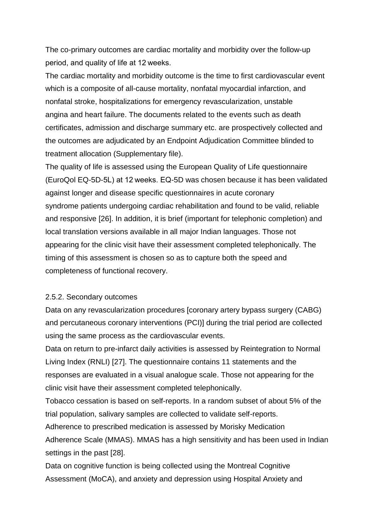The co-primary outcomes are cardiac mortality and morbidity over the follow-up period, and quality of life at 12 weeks.

The cardiac mortality and morbidity outcome is the time to first cardiovascular event which is a composite of all-cause mortality, nonfatal myocardial infarction, and nonfatal stroke, hospitalizations for emergency revascularization, unstable angina and heart failure. The documents related to the events such as death certificates, admission and discharge summary etc. are prospectively collected and the outcomes are adjudicated by an Endpoint Adjudication Committee blinded to treatment allocation (Supplementary file).

The quality of life is assessed using the European Quality of Life questionnaire (EuroQol EQ-5D-5L) at 12 weeks. EQ-5D was chosen because it has been validated against longer and disease specific questionnaires in acute coronary syndrome patients undergoing cardiac rehabilitation and found to be valid, reliable and responsive [26]. In addition, it is brief (important for telephonic completion) and local translation versions available in all major Indian languages. Those not appearing for the clinic visit have their assessment completed telephonically. The timing of this assessment is chosen so as to capture both the speed and completeness of functional recovery.

#### 2.5.2. Secondary outcomes

Data on any revascularization procedures [coronary artery bypass surgery (CABG) and percutaneous coronary interventions (PCI)] during the trial period are collected using the same process as the cardiovascular events.

Data on return to pre-infarct daily activities is assessed by Reintegration to Normal Living Index (RNLI) [27]. The questionnaire contains 11 statements and the responses are evaluated in a visual analogue scale. Those not appearing for the clinic visit have their assessment completed telephonically.

Tobacco cessation is based on self-reports. In a random subset of about 5% of the trial population, salivary samples are collected to validate self-reports.

Adherence to prescribed medication is assessed by Morisky Medication

Adherence Scale (MMAS). MMAS has a high sensitivity and has been used in Indian settings in the past [28].

Data on cognitive function is being collected using the Montreal Cognitive Assessment (MoCA), and anxiety and depression using Hospital Anxiety and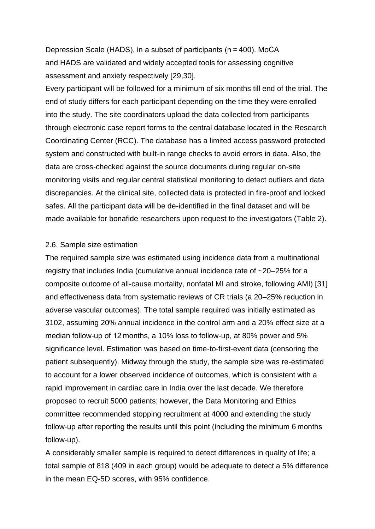Depression Scale (HADS), in a subset of participants (n = 400). MoCA and HADS are validated and widely accepted tools for assessing cognitive assessment and anxiety respectively [29,30].

Every participant will be followed for a minimum of six months till end of the trial. The end of study differs for each participant depending on the time they were enrolled into the study. The site coordinators upload the data collected from participants through electronic case report forms to the central database located in the Research Coordinating Center (RCC). The database has a limited access password protected system and constructed with built-in range checks to avoid errors in data. Also, the data are cross-checked against the source documents during regular on-site monitoring visits and regular central statistical monitoring to detect outliers and data discrepancies. At the clinical site, collected data is protected in fire-proof and locked safes. All the participant data will be de-identified in the final dataset and will be made available for bonafide researchers upon request to the investigators (Table 2).

#### 2.6. Sample size estimation

The required sample size was estimated using incidence data from a multinational registry that includes India (cumulative annual incidence rate of ~20–25% for a composite outcome of all-cause mortality, nonfatal MI and stroke, following AMI) [31] and effectiveness data from systematic reviews of CR trials (a 20–25% reduction in adverse vascular outcomes). The total sample required was initially estimated as 3102, assuming 20% annual incidence in the control arm and a 20% effect size at a median follow-up of 12 months, a 10% loss to follow-up, at 80% power and 5% significance level. Estimation was based on time-to-first-event data (censoring the patient subsequently). Midway through the study, the sample size was re-estimated to account for a lower observed incidence of outcomes, which is consistent with a rapid improvement in cardiac care in India over the last decade. We therefore proposed to recruit 5000 patients; however, the Data Monitoring and Ethics committee recommended stopping recruitment at 4000 and extending the study follow-up after reporting the results until this point (including the minimum 6 months follow-up).

A considerably smaller sample is required to detect differences in quality of life; a total sample of 818 (409 in each group) would be adequate to detect a 5% difference in the mean EQ-5D scores, with 95% confidence.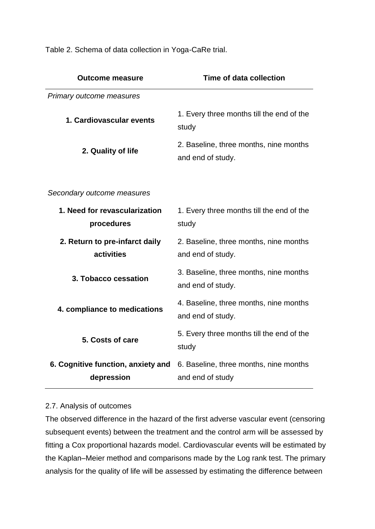Table 2. Schema of data collection in Yoga-CaRe trial.

| <b>Outcome measure</b>                           | Time of data collection                                     |
|--------------------------------------------------|-------------------------------------------------------------|
| Primary outcome measures                         |                                                             |
| 1. Cardiovascular events                         | 1. Every three months till the end of the<br>study          |
| 2. Quality of life                               | 2. Baseline, three months, nine months<br>and end of study. |
| Secondary outcome measures                       |                                                             |
| 1. Need for revascularization<br>procedures      | 1. Every three months till the end of the<br>study          |
| 2. Return to pre-infarct daily<br>activities     | 2. Baseline, three months, nine months<br>and end of study. |
| 3. Tobacco cessation                             | 3. Baseline, three months, nine months<br>and end of study. |
| 4. compliance to medications                     | 4. Baseline, three months, nine months<br>and end of study. |
| 5. Costs of care                                 | 5. Every three months till the end of the<br>study          |
| 6. Cognitive function, anxiety and<br>depression | 6. Baseline, three months, nine months<br>and end of study  |

### 2.7. Analysis of outcomes

The observed difference in the hazard of the first adverse vascular event (censoring subsequent events) between the treatment and the control arm will be assessed by fitting a Cox proportional hazards model. Cardiovascular events will be estimated by the Kaplan–Meier method and comparisons made by the Log rank test. The primary analysis for the quality of life will be assessed by estimating the difference between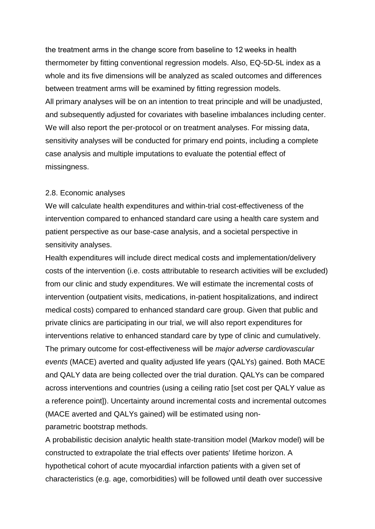the treatment arms in the change score from baseline to 12 weeks in health thermometer by fitting conventional regression models. Also, EQ-5D-5L index as a whole and its five dimensions will be analyzed as scaled outcomes and differences between treatment arms will be examined by fitting regression models. All primary analyses will be on an intention to treat principle and will be unadjusted, and subsequently adjusted for covariates with baseline imbalances including center. We will also report the per-protocol or on treatment analyses. For missing data, sensitivity analyses will be conducted for primary end points, including a complete case analysis and multiple imputations to evaluate the potential effect of missingness.

#### 2.8. Economic analyses

We will calculate health expenditures and within-trial cost-effectiveness of the intervention compared to enhanced standard care using a health care system and patient perspective as our base-case analysis, and a societal perspective in sensitivity analyses.

Health expenditures will include direct medical costs and implementation/delivery costs of the intervention (i.e. costs attributable to research activities will be excluded) from our clinic and study expenditures. We will estimate the incremental costs of intervention (outpatient visits, medications, in-patient hospitalizations, and indirect medical costs) compared to enhanced standard care group. Given that public and private clinics are participating in our trial, we will also report expenditures for interventions relative to enhanced standard care by type of clinic and cumulatively. The primary outcome for cost-effectiveness will be *major adverse cardiovascular events* (MACE) averted and quality adjusted life years (QALYs) gained. Both MACE and QALY data are being collected over the trial duration. QALYs can be compared across interventions and countries (using a ceiling ratio [set cost per QALY value as a reference point]). Uncertainty around incremental costs and incremental outcomes (MACE averted and QALYs gained) will be estimated using nonparametric bootstrap methods.

A probabilistic decision analytic health state-transition model (Markov model) will be constructed to extrapolate the trial effects over patients' lifetime horizon. A hypothetical cohort of acute myocardial infarction patients with a given set of characteristics (e.g. age, comorbidities) will be followed until death over successive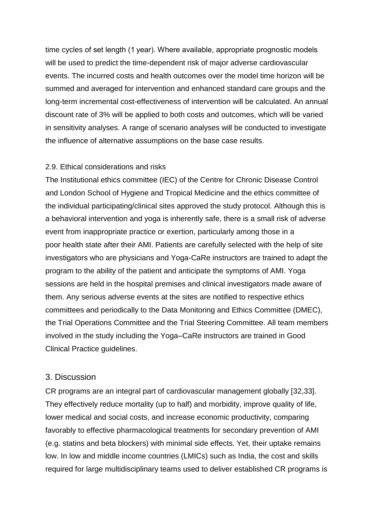time cycles of set length (1 year). Where available, appropriate prognostic models will be used to predict the time-dependent risk of major adverse cardiovascular events. The incurred costs and health outcomes over the model time horizon will be summed and averaged for intervention and enhanced standard care groups and the long-term incremental cost-effectiveness of intervention will be calculated. An annual discount rate of 3% will be applied to both costs and outcomes, which will be varied in sensitivity analyses. A range of scenario analyses will be conducted to investigate the influence of alternative assumptions on the base case results.

### 2.9. Ethical considerations and risks

The Institutional ethics committee (IEC) of the Centre for Chronic Disease Control and London School of Hygiene and Tropical Medicine and the ethics committee of the individual participating/clinical sites approved the study protocol. Although this is a behavioral intervention and yoga is inherently safe, there is a small risk of adverse event from inappropriate practice or exertion, particularly among those in a poor health state after their AMI. Patients are carefully selected with the help of site investigators who are physicians and Yoga-CaRe instructors are trained to adapt the program to the ability of the patient and anticipate the symptoms of AMI. Yoga sessions are held in the hospital premises and clinical investigators made aware of them. Any serious adverse events at the sites are notified to respective ethics committees and periodically to the Data Monitoring and Ethics Committee (DMEC), the Trial Operations Committee and the Trial Steering Committee. All team members involved in the study including the Yoga–CaRe instructors are trained in Good Clinical Practice guidelines.

## 3. Discussion

CR programs are an integral part of cardiovascular management globally [32,33]. They effectively reduce mortality (up to half) and morbidity, improve quality of life, lower medical and social costs, and increase economic productivity, comparing favorably to effective pharmacological treatments for secondary prevention of AMI (e.g. statins and beta blockers) with minimal side effects. Yet, their uptake remains low. In low and middle income countries (LMICs) such as India, the cost and skills required for large multidisciplinary teams used to deliver established CR programs is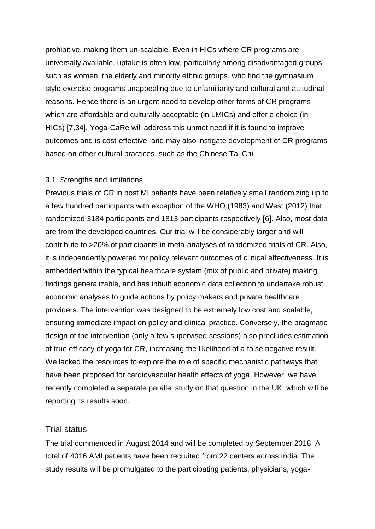prohibitive, making them un-scalable. Even in HICs where CR programs are universally available, uptake is often low, particularly among disadvantaged groups such as women, the elderly and minority ethnic groups, who find the gymnasium style exercise programs unappealing due to unfamiliarity and cultural and attitudinal reasons. Hence there is an urgent need to develop other forms of CR programs which are affordable and culturally acceptable (in LMICs) and offer a choice (in HICs) [7,34]. Yoga-CaRe will address this unmet need if it is found to improve outcomes and is cost-effective, and may also instigate development of CR programs based on other cultural practices, such as the Chinese Tai Chi.

### 3.1. Strengths and limitations

Previous trials of CR in post MI patients have been relatively small randomizing up to a few hundred participants with exception of the WHO (1983) and West (2012) that randomized 3184 participants and 1813 participants respectively [6]. Also, most data are from the developed countries. Our trial will be considerably larger and will contribute to >20% of participants in meta-analyses of randomized trials of CR. Also, it is independently powered for policy relevant outcomes of clinical effectiveness. It is embedded within the typical healthcare system (mix of public and private) making findings generalizable, and has inbuilt economic data collection to undertake robust economic analyses to guide actions by policy makers and private healthcare providers. The intervention was designed to be extremely low cost and scalable, ensuring immediate impact on policy and clinical practice. Conversely, the pragmatic design of the intervention (only a few supervised sessions) also precludes estimation of true efficacy of yoga for CR, increasing the likelihood of a false negative result. We lacked the resources to explore the role of specific mechanistic pathways that have been proposed for cardiovascular health effects of yoga. However, we have recently completed a separate parallel study on that question in the UK, which will be reporting its results soon.

### Trial status

The trial commenced in August 2014 and will be completed by September 2018. A total of 4016 AMI patients have been recruited from 22 centers across India. The study results will be promulgated to the participating patients, physicians, yoga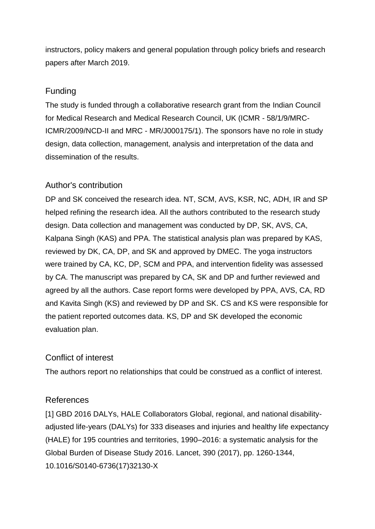instructors, policy makers and general population through policy briefs and research papers after March 2019.

# Funding

The study is funded through a collaborative research grant from the Indian Council for Medical Research and Medical Research Council, UK (ICMR - 58/1/9/MRC-ICMR/2009/NCD-II and MRC - MR/J000175/1). The sponsors have no role in study design, data collection, management, analysis and interpretation of the data and dissemination of the results.

# Author's contribution

DP and SK conceived the research idea. NT, SCM, AVS, KSR, NC, ADH, IR and SP helped refining the research idea. All the authors contributed to the research study design. Data collection and management was conducted by DP, SK, AVS, CA, Kalpana Singh (KAS) and PPA. The statistical analysis plan was prepared by KAS, reviewed by DK, CA, DP, and SK and approved by DMEC. The yoga instructors were trained by CA, KC, DP, SCM and PPA, and intervention fidelity was assessed by CA. The manuscript was prepared by CA, SK and DP and further reviewed and agreed by all the authors. Case report forms were developed by PPA, AVS, CA, RD and Kavita Singh (KS) and reviewed by DP and SK. CS and KS were responsible for the patient reported outcomes data. KS, DP and SK developed the economic evaluation plan.

## Conflict of interest

The authors report no relationships that could be construed as a conflict of interest.

## References

[1] GBD 2016 DALYs, HALE Collaborators Global, regional, and national disabilityadjusted life-years (DALYs) for 333 diseases and injuries and healthy life expectancy (HALE) for 195 countries and territories, 1990–2016: a systematic analysis for the Global Burden of Disease Study 2016. Lancet, 390 (2017), pp. 1260-1344, 10.1016/S0140-6736(17)32130-X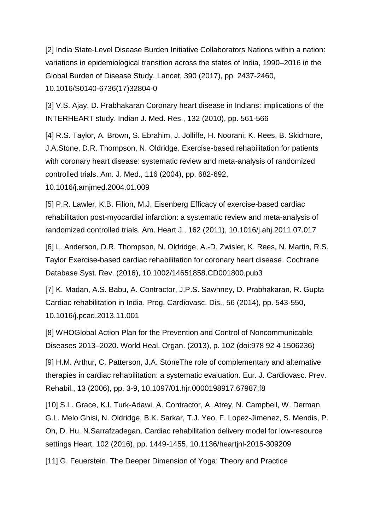[2] India State-Level Disease Burden Initiative Collaborators Nations within a nation: variations in epidemiological transition across the states of India, 1990–2016 in the Global Burden of Disease Study. Lancet, 390 (2017), pp. 2437-2460, 10.1016/S0140-6736(17)32804-0

[3] V.S. Ajay, D. Prabhakaran Coronary heart disease in Indians: implications of the INTERHEART study. Indian J. Med. Res., 132 (2010), pp. 561-566

[4] R.S. Taylor, A. Brown, S. Ebrahim, J. Jolliffe, H. Noorani, K. Rees, B. Skidmore, J.A.Stone, D.R. Thompson, N. Oldridge. Exercise-based rehabilitation for patients with coronary heart disease: systematic review and meta-analysis of randomized controlled trials. Am. J. Med., 116 (2004), pp. 682-692,

10.1016/j.amjmed.2004.01.009

[5] P.R. Lawler, K.B. Filion, M.J. Eisenberg Efficacy of exercise-based cardiac rehabilitation post-myocardial infarction: a systematic review and meta-analysis of randomized controlled trials. Am. Heart J., 162 (2011), 10.1016/j.ahj.2011.07.017

[6] L. Anderson, D.R. Thompson, N. Oldridge, A.-D. Zwisler, K. Rees, N. Martin, R.S. Taylor Exercise-based cardiac rehabilitation for coronary heart disease. Cochrane Database Syst. Rev. (2016), 10.1002/14651858.CD001800.pub3

[7] K. Madan, A.S. Babu, A. Contractor, J.P.S. Sawhney, D. Prabhakaran, R. Gupta Cardiac rehabilitation in India. Prog. Cardiovasc. Dis., 56 (2014), pp. 543-550, 10.1016/j.pcad.2013.11.001

[8] WHOGlobal Action Plan for the Prevention and Control of Noncommunicable Diseases 2013–2020. World Heal. Organ. (2013), p. 102 (doi:978 92 4 1506236)

[9] H.M. Arthur, C. Patterson, J.A. StoneThe role of complementary and alternative therapies in cardiac rehabilitation: a systematic evaluation. Eur. J. Cardiovasc. Prev. Rehabil., 13 (2006), pp. 3-9, 10.1097/01.hjr.0000198917.67987.f8

[10] S.L. Grace, K.I. Turk-Adawi, A. Contractor, A. Atrey, N. Campbell, W. Derman, G.L. Melo Ghisi, N. Oldridge, B.K. Sarkar, T.J. Yeo, F. Lopez-Jimenez, S. Mendis, P. Oh, D. Hu, N.Sarrafzadegan. Cardiac rehabilitation delivery model for low-resource settings Heart, 102 (2016), pp. 1449-1455, 10.1136/heartjnl-2015-309209

[11] G. Feuerstein. The Deeper Dimension of Yoga: Theory and Practice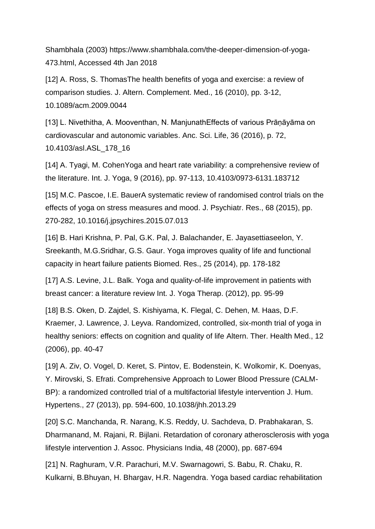Shambhala (2003) https://www.shambhala.com/the-deeper-dimension-of-yoga-473.html, Accessed 4th Jan 2018

[12] A. Ross, S. ThomasThe health benefits of yoga and exercise: a review of comparison studies. J. Altern. Complement. Med., 16 (2010), pp. 3-12, 10.1089/acm.2009.0044

[13] L. Nivethitha, A. Mooventhan, N. ManjunathEffects of various Prāṇāyāma on cardiovascular and autonomic variables. Anc. Sci. Life, 36 (2016), p. 72, 10.4103/asl.ASL\_178\_16

[14] A. Tyagi, M. CohenYoga and heart rate variability: a comprehensive review of the literature. Int. J. Yoga, 9 (2016), pp. 97-113, 10.4103/0973-6131.183712

[15] M.C. Pascoe, I.E. BauerA systematic review of randomised control trials on the effects of yoga on stress measures and mood. J. Psychiatr. Res., 68 (2015), pp. 270-282, 10.1016/j.jpsychires.2015.07.013

[16] B. Hari Krishna, P. Pal, G.K. Pal, J. Balachander, E. Jayasettiaseelon, Y. Sreekanth, M.G.Sridhar, G.S. Gaur. Yoga improves quality of life and functional capacity in heart failure patients Biomed. Res., 25 (2014), pp. 178-182

[17] A.S. Levine, J.L. Balk. Yoga and quality-of-life improvement in patients with breast cancer: a literature review Int. J. Yoga Therap. (2012), pp. 95-99

[18] B.S. Oken, D. Zajdel, S. Kishiyama, K. Flegal, C. Dehen, M. Haas, D.F. Kraemer, J. Lawrence, J. Leyva. Randomized, controlled, six-month trial of yoga in healthy seniors: effects on cognition and quality of life Altern. Ther. Health Med., 12 (2006), pp. 40-47

[19] A. Ziv, O. Vogel, D. Keret, S. Pintov, E. Bodenstein, K. Wolkomir, K. Doenyas, Y. Mirovski, S. Efrati. Comprehensive Approach to Lower Blood Pressure (CALM-BP): a randomized controlled trial of a multifactorial lifestyle intervention J. Hum. Hypertens., 27 (2013), pp. 594-600, 10.1038/jhh.2013.29

[20] S.C. Manchanda, R. Narang, K.S. Reddy, U. Sachdeva, D. Prabhakaran, S. Dharmanand, M. Rajani, R. Bijlani. Retardation of coronary atherosclerosis with yoga lifestyle intervention J. Assoc. Physicians India, 48 (2000), pp. 687-694

[21] N. Raghuram, V.R. Parachuri, M.V. Swarnagowri, S. Babu, R. Chaku, R. Kulkarni, B.Bhuyan, H. Bhargav, H.R. Nagendra. Yoga based cardiac rehabilitation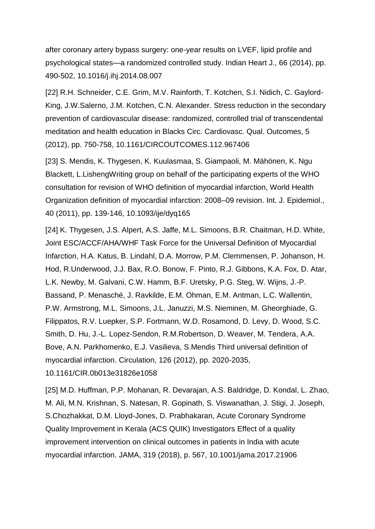after coronary artery bypass surgery: one-year results on LVEF, lipid profile and psychological states—a randomized controlled study. Indian Heart J., 66 (2014), pp. 490-502, 10.1016/j.ihj.2014.08.007

[22] R.H. Schneider, C.E. Grim, M.V. Rainforth, T. Kotchen, S.I. Nidich, C. Gaylord-King, J.W.Salerno, J.M. Kotchen, C.N. Alexander. Stress reduction in the secondary prevention of cardiovascular disease: randomized, controlled trial of transcendental meditation and health education in Blacks Circ. Cardiovasc. Qual. Outcomes, 5 (2012), pp. 750-758, 10.1161/CIRCOUTCOMES.112.967406

[23] S. Mendis, K. Thygesen, K. Kuulasmaa, S. Giampaoli, M. Mähönen, K. Ngu Blackett, L.LishengWriting group on behalf of the participating experts of the WHO consultation for revision of WHO definition of myocardial infarction, World Health Organization definition of myocardial infarction: 2008–09 revision. Int. J. Epidemiol., 40 (2011), pp. 139-146, 10.1093/ije/dyq165

[24] K. Thygesen, J.S. Alpert, A.S. Jaffe, M.L. Simoons, B.R. Chaitman, H.D. White, Joint ESC/ACCF/AHA/WHF Task Force for the Universal Definition of Myocardial Infarction, H.A. Katus, B. Lindahl, D.A. Morrow, P.M. Clemmensen, P. Johanson, H. Hod, R.Underwood, J.J. Bax, R.O. Bonow, F. Pinto, R.J. Gibbons, K.A. Fox, D. Atar, L.K. Newby, M. Galvani, C.W. Hamm, B.F. Uretsky, P.G. Steg, W. Wijns, J.-P. Bassand, P. Menasché, J. Ravkilde, E.M. Ohman, E.M. Antman, L.C. Wallentin, P.W. Armstrong, M.L. Simoons, J.L. Januzzi, M.S. Nieminen, M. Gheorghiade, G. Filippatos, R.V. Luepker, S.P. Fortmann, W.D. Rosamond, D. Levy, D. Wood, S.C. Smith, D. Hu, J.-L. Lopez-Sendon, R.M.Robertson, D. Weaver, M. Tendera, A.A. Bove, A.N. Parkhomenko, E.J. Vasilieva, S.Mendis Third universal definition of myocardial infarction. Circulation, 126 (2012), pp. 2020-2035, 10.1161/CIR.0b013e31826e1058

[25] M.D. Huffman, P.P. Mohanan, R. Devarajan, A.S. Baldridge, D. Kondal, L. Zhao, M. Ali, M.N. Krishnan, S. Natesan, R. Gopinath, S. Viswanathan, J. Stigi, J. Joseph, S.Chozhakkat, D.M. Lloyd-Jones, D. Prabhakaran, Acute Coronary Syndrome Quality Improvement in Kerala (ACS QUIK) Investigators Effect of a quality improvement intervention on clinical outcomes in patients in India with acute myocardial infarction. JAMA, 319 (2018), p. 567, 10.1001/jama.2017.21906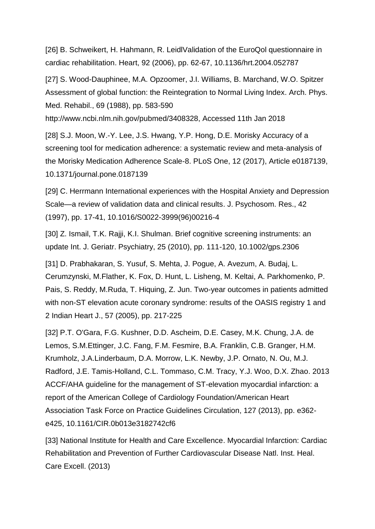[26] B. Schweikert, H. Hahmann, R. LeidlValidation of the EuroQol questionnaire in cardiac rehabilitation. Heart, 92 (2006), pp. 62-67, 10.1136/hrt.2004.052787

[27] S. Wood-Dauphinee, M.A. Opzoomer, J.I. Williams, B. Marchand, W.O. Spitzer Assessment of global function: the Reintegration to Normal Living Index. Arch. Phys. Med. Rehabil., 69 (1988), pp. 583-590

http://www.ncbi.nlm.nih.gov/pubmed/3408328, Accessed 11th Jan 2018

[28] S.J. Moon, W.-Y. Lee, J.S. Hwang, Y.P. Hong, D.E. Morisky Accuracy of a screening tool for medication adherence: a systematic review and meta-analysis of the Morisky Medication Adherence Scale-8. PLoS One, 12 (2017), Article e0187139, 10.1371/journal.pone.0187139

[29] C. Herrmann International experiences with the Hospital Anxiety and Depression Scale—a review of validation data and clinical results. J. Psychosom. Res., 42 (1997), pp. 17-41, 10.1016/S0022-3999(96)00216-4

[30] Z. Ismail, T.K. Rajji, K.I. Shulman. Brief cognitive screening instruments: an update Int. J. Geriatr. Psychiatry, 25 (2010), pp. 111-120, 10.1002/gps.2306

[31] D. Prabhakaran, S. Yusuf, S. Mehta, J. Pogue, A. Avezum, A. Budaj, L. Cerumzynski, M.Flather, K. Fox, D. Hunt, L. Lisheng, M. Keltai, A. Parkhomenko, P. Pais, S. Reddy, M.Ruda, T. Hiquing, Z. Jun. Two-year outcomes in patients admitted with non-ST elevation acute coronary syndrome: results of the OASIS registry 1 and 2 Indian Heart J., 57 (2005), pp. 217-225

[32] P.T. O'Gara, F.G. Kushner, D.D. Ascheim, D.E. Casey, M.K. Chung, J.A. de Lemos, S.M.Ettinger, J.C. Fang, F.M. Fesmire, B.A. Franklin, C.B. Granger, H.M. Krumholz, J.A.Linderbaum, D.A. Morrow, L.K. Newby, J.P. Ornato, N. Ou, M.J. Radford, J.E. Tamis-Holland, C.L. Tommaso, C.M. Tracy, Y.J. Woo, D.X. Zhao. 2013 ACCF/AHA guideline for the management of ST-elevation myocardial infarction: a report of the American College of Cardiology Foundation/American Heart Association Task Force on Practice Guidelines Circulation, 127 (2013), pp. e362 e425, 10.1161/CIR.0b013e3182742cf6

[33] National Institute for Health and Care Excellence. Myocardial Infarction: Cardiac Rehabilitation and Prevention of Further Cardiovascular Disease Natl. Inst. Heal. Care Excell. (2013)